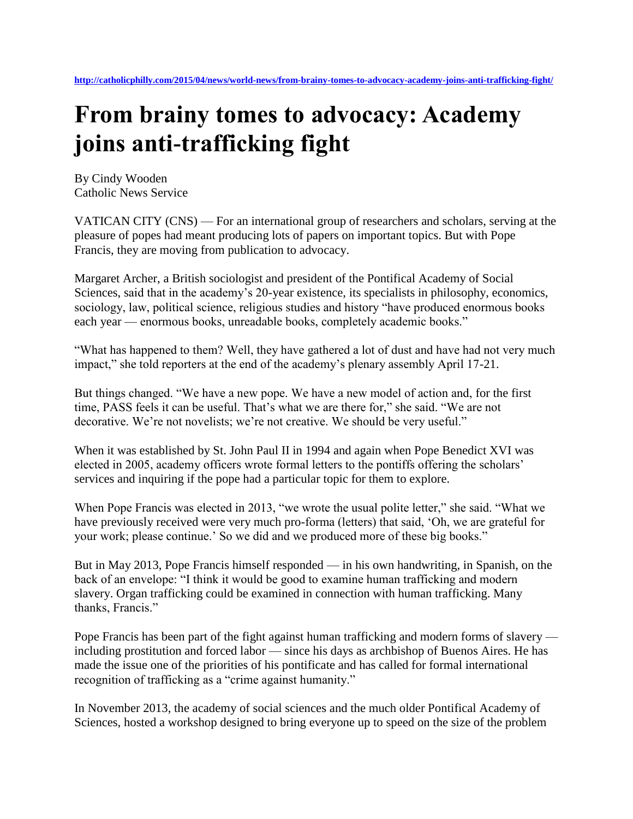## **From brainy tomes to advocacy: Academy joins anti-trafficking fight**

By Cindy Wooden Catholic News Service

VATICAN CITY (CNS) — For an international group of researchers and scholars, serving at the pleasure of popes had meant producing lots of papers on important topics. But with Pope Francis, they are moving from publication to advocacy.

Margaret Archer, a British sociologist and president of the Pontifical Academy of Social Sciences, said that in the academy's 20-year existence, its specialists in philosophy, economics, sociology, law, political science, religious studies and history "have produced enormous books each year — enormous books, unreadable books, completely academic books."

"What has happened to them? Well, they have gathered a lot of dust and have had not very much impact," she told reporters at the end of the academy's plenary assembly April 17-21.

But things changed. "We have a new pope. We have a new model of action and, for the first time, PASS feels it can be useful. That's what we are there for," she said. "We are not decorative. We're not novelists; we're not creative. We should be very useful."

When it was established by St. John Paul II in 1994 and again when Pope Benedict XVI was elected in 2005, academy officers wrote formal letters to the pontiffs offering the scholars' services and inquiring if the pope had a particular topic for them to explore.

When Pope Francis was elected in 2013, "we wrote the usual polite letter," she said. "What we have previously received were very much pro-forma (letters) that said, 'Oh, we are grateful for your work; please continue.' So we did and we produced more of these big books."

But in May 2013, Pope Francis himself responded — in his own handwriting, in Spanish, on the back of an envelope: "I think it would be good to examine human trafficking and modern slavery. Organ trafficking could be examined in connection with human trafficking. Many thanks, Francis."

Pope Francis has been part of the fight against human trafficking and modern forms of slavery including prostitution and forced labor — since his days as archbishop of Buenos Aires. He has made the issue one of the priorities of his pontificate and has called for formal international recognition of trafficking as a "crime against humanity."

In November 2013, the academy of social sciences and the much older Pontifical Academy of Sciences, hosted a workshop designed to bring everyone up to speed on the size of the problem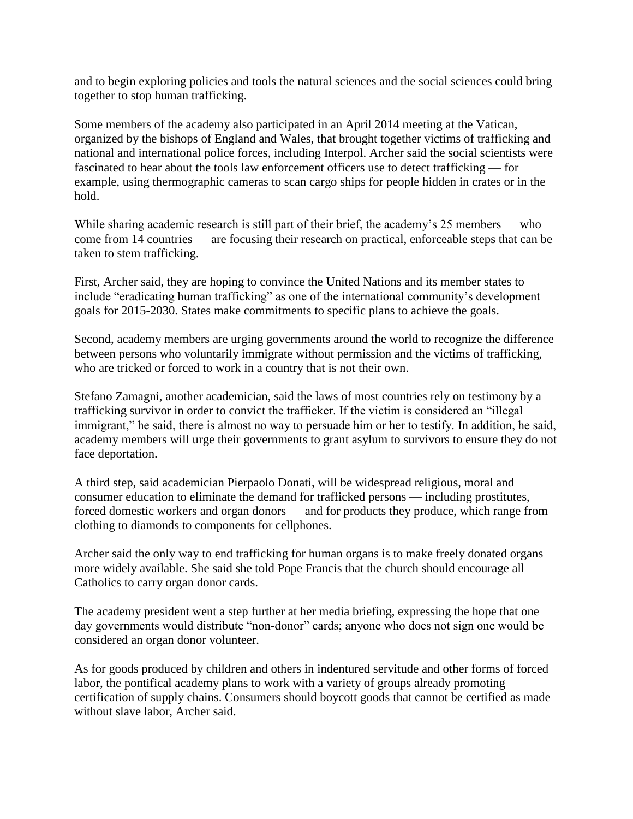and to begin exploring policies and tools the natural sciences and the social sciences could bring together to stop human trafficking.

Some members of the academy also participated in an April 2014 meeting at the Vatican, organized by the bishops of England and Wales, that brought together victims of trafficking and national and international police forces, including Interpol. Archer said the social scientists were fascinated to hear about the tools law enforcement officers use to detect trafficking — for example, using thermographic cameras to scan cargo ships for people hidden in crates or in the hold.

While sharing academic research is still part of their brief, the academy's 25 members — who come from 14 countries — are focusing their research on practical, enforceable steps that can be taken to stem trafficking.

First, Archer said, they are hoping to convince the United Nations and its member states to include "eradicating human trafficking" as one of the international community's development goals for 2015-2030. States make commitments to specific plans to achieve the goals.

Second, academy members are urging governments around the world to recognize the difference between persons who voluntarily immigrate without permission and the victims of trafficking, who are tricked or forced to work in a country that is not their own.

Stefano Zamagni, another academician, said the laws of most countries rely on testimony by a trafficking survivor in order to convict the trafficker. If the victim is considered an "illegal immigrant," he said, there is almost no way to persuade him or her to testify. In addition, he said, academy members will urge their governments to grant asylum to survivors to ensure they do not face deportation.

A third step, said academician Pierpaolo Donati, will be widespread religious, moral and consumer education to eliminate the demand for trafficked persons — including prostitutes, forced domestic workers and organ donors — and for products they produce, which range from clothing to diamonds to components for cellphones.

Archer said the only way to end trafficking for human organs is to make freely donated organs more widely available. She said she told Pope Francis that the church should encourage all Catholics to carry organ donor cards.

The academy president went a step further at her media briefing, expressing the hope that one day governments would distribute "non-donor" cards; anyone who does not sign one would be considered an organ donor volunteer.

As for goods produced by children and others in indentured servitude and other forms of forced labor, the pontifical academy plans to work with a variety of groups already promoting certification of supply chains. Consumers should boycott goods that cannot be certified as made without slave labor, Archer said.